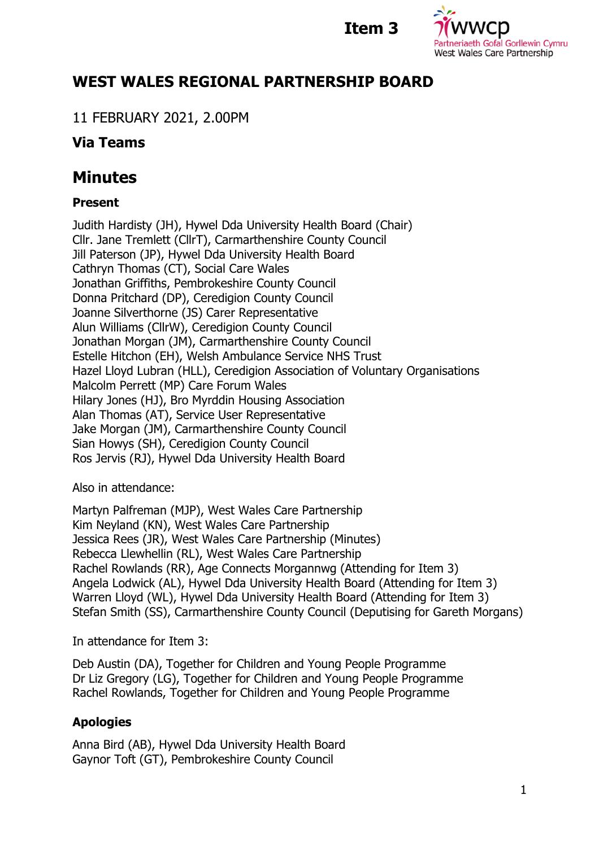## **Item 3**



# **WEST WALES REGIONAL PARTNERSHIP BOARD**

11 FEBRUARY 2021, 2.00PM

## **Via Teams**

# **Minutes**

## **Present**

Judith Hardisty (JH), Hywel Dda University Health Board (Chair) Cllr. Jane Tremlett (CllrT), Carmarthenshire County Council Jill Paterson (JP), Hywel Dda University Health Board Cathryn Thomas (CT), Social Care Wales Jonathan Griffiths, Pembrokeshire County Council Donna Pritchard (DP), Ceredigion County Council Joanne Silverthorne (JS) Carer Representative Alun Williams (CllrW), Ceredigion County Council Jonathan Morgan (JM), Carmarthenshire County Council Estelle Hitchon (EH), Welsh Ambulance Service NHS Trust Hazel Lloyd Lubran (HLL), Ceredigion Association of Voluntary Organisations Malcolm Perrett (MP) Care Forum Wales Hilary Jones (HJ), Bro Myrddin Housing Association Alan Thomas (AT), Service User Representative Jake Morgan (JM), Carmarthenshire County Council Sian Howys (SH), Ceredigion County Council Ros Jervis (RJ), Hywel Dda University Health Board

Also in attendance:

Martyn Palfreman (MJP), West Wales Care Partnership Kim Neyland (KN), West Wales Care Partnership Jessica Rees (JR), West Wales Care Partnership (Minutes) Rebecca Llewhellin (RL), West Wales Care Partnership Rachel Rowlands (RR), Age Connects Morgannwg (Attending for Item 3) Angela Lodwick (AL), Hywel Dda University Health Board (Attending for Item 3) Warren Lloyd (WL), Hywel Dda University Health Board (Attending for Item 3) Stefan Smith (SS), Carmarthenshire County Council (Deputising for Gareth Morgans)

In attendance for Item 3:

Deb Austin (DA), Together for Children and Young People Programme Dr Liz Gregory (LG), Together for Children and Young People Programme Rachel Rowlands, Together for Children and Young People Programme

## **Apologies**

Anna Bird (AB), Hywel Dda University Health Board Gaynor Toft (GT), Pembrokeshire County Council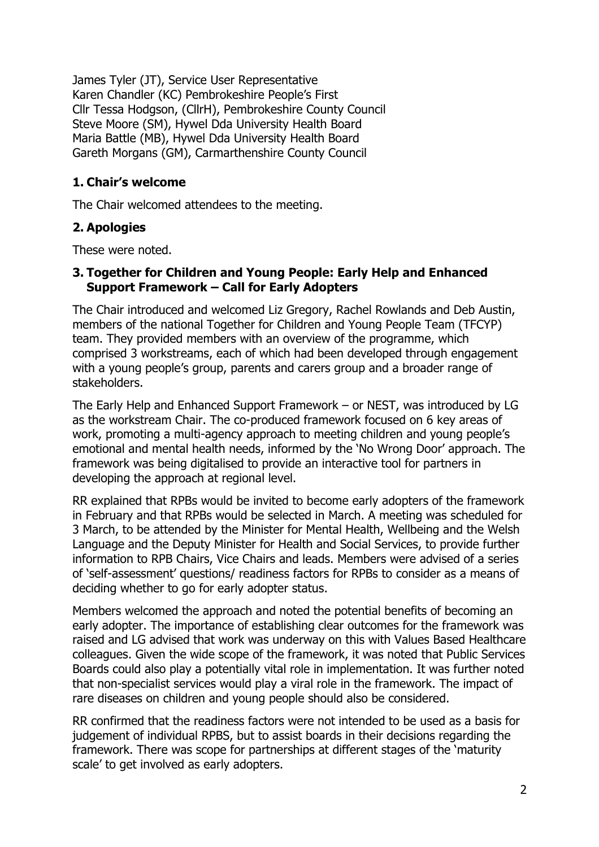James Tyler (JT), Service User Representative Karen Chandler (KC) Pembrokeshire People's First Cllr Tessa Hodgson, (CllrH), Pembrokeshire County Council Steve Moore (SM), Hywel Dda University Health Board Maria Battle (MB), Hywel Dda University Health Board Gareth Morgans (GM), Carmarthenshire County Council

#### **1. Chair's welcome**

The Chair welcomed attendees to the meeting.

#### **2. Apologies**

These were noted.

#### **3. Together for Children and Young People: Early Help and Enhanced Support Framework – Call for Early Adopters**

The Chair introduced and welcomed Liz Gregory, Rachel Rowlands and Deb Austin, members of the national Together for Children and Young People Team (TFCYP) team. They provided members with an overview of the programme, which comprised 3 workstreams, each of which had been developed through engagement with a young people's group, parents and carers group and a broader range of stakeholders.

The Early Help and Enhanced Support Framework – or NEST, was introduced by LG as the workstream Chair. The co-produced framework focused on 6 key areas of work, promoting a multi-agency approach to meeting children and young people's emotional and mental health needs, informed by the 'No Wrong Door' approach. The framework was being digitalised to provide an interactive tool for partners in developing the approach at regional level.

RR explained that RPBs would be invited to become early adopters of the framework in February and that RPBs would be selected in March. A meeting was scheduled for 3 March, to be attended by the Minister for Mental Health, Wellbeing and the Welsh Language and the Deputy Minister for Health and Social Services, to provide further information to RPB Chairs, Vice Chairs and leads. Members were advised of a series of 'self-assessment' questions/ readiness factors for RPBs to consider as a means of deciding whether to go for early adopter status.

Members welcomed the approach and noted the potential benefits of becoming an early adopter. The importance of establishing clear outcomes for the framework was raised and LG advised that work was underway on this with Values Based Healthcare colleagues. Given the wide scope of the framework, it was noted that Public Services Boards could also play a potentially vital role in implementation. It was further noted that non-specialist services would play a viral role in the framework. The impact of rare diseases on children and young people should also be considered.

RR confirmed that the readiness factors were not intended to be used as a basis for judgement of individual RPBS, but to assist boards in their decisions regarding the framework. There was scope for partnerships at different stages of the 'maturity scale' to get involved as early adopters.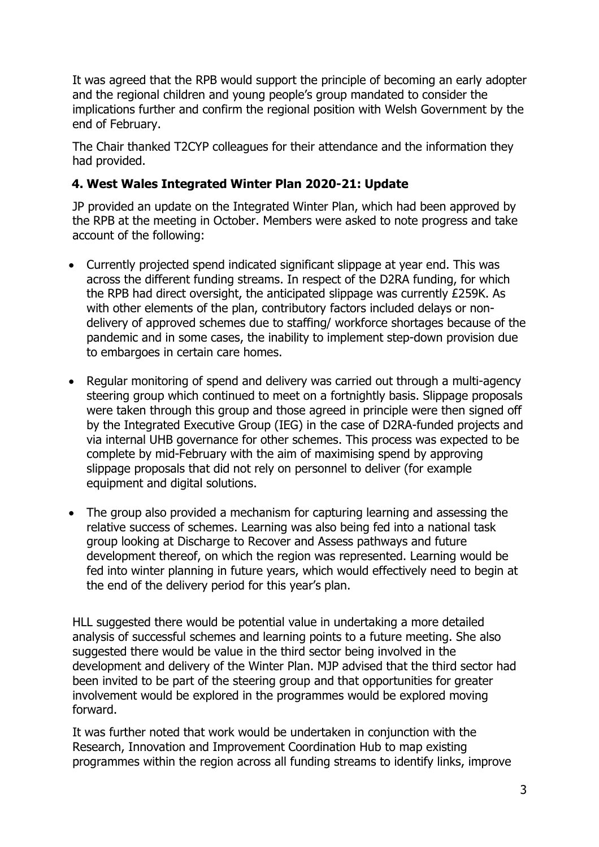It was agreed that the RPB would support the principle of becoming an early adopter and the regional children and young people's group mandated to consider the implications further and confirm the regional position with Welsh Government by the end of February.

The Chair thanked T2CYP colleagues for their attendance and the information they had provided.

#### **4. West Wales Integrated Winter Plan 2020-21: Update**

JP provided an update on the Integrated Winter Plan, which had been approved by the RPB at the meeting in October. Members were asked to note progress and take account of the following:

- Currently projected spend indicated significant slippage at year end. This was across the different funding streams. In respect of the D2RA funding, for which the RPB had direct oversight, the anticipated slippage was currently £259K. As with other elements of the plan, contributory factors included delays or nondelivery of approved schemes due to staffing/ workforce shortages because of the pandemic and in some cases, the inability to implement step-down provision due to embargoes in certain care homes.
- Regular monitoring of spend and delivery was carried out through a multi-agency steering group which continued to meet on a fortnightly basis. Slippage proposals were taken through this group and those agreed in principle were then signed off by the Integrated Executive Group (IEG) in the case of D2RA-funded projects and via internal UHB governance for other schemes. This process was expected to be complete by mid-February with the aim of maximising spend by approving slippage proposals that did not rely on personnel to deliver (for example equipment and digital solutions.
- The group also provided a mechanism for capturing learning and assessing the relative success of schemes. Learning was also being fed into a national task group looking at Discharge to Recover and Assess pathways and future development thereof, on which the region was represented. Learning would be fed into winter planning in future years, which would effectively need to begin at the end of the delivery period for this year's plan.

HLL suggested there would be potential value in undertaking a more detailed analysis of successful schemes and learning points to a future meeting. She also suggested there would be value in the third sector being involved in the development and delivery of the Winter Plan. MJP advised that the third sector had been invited to be part of the steering group and that opportunities for greater involvement would be explored in the programmes would be explored moving forward.

It was further noted that work would be undertaken in conjunction with the Research, Innovation and Improvement Coordination Hub to map existing programmes within the region across all funding streams to identify links, improve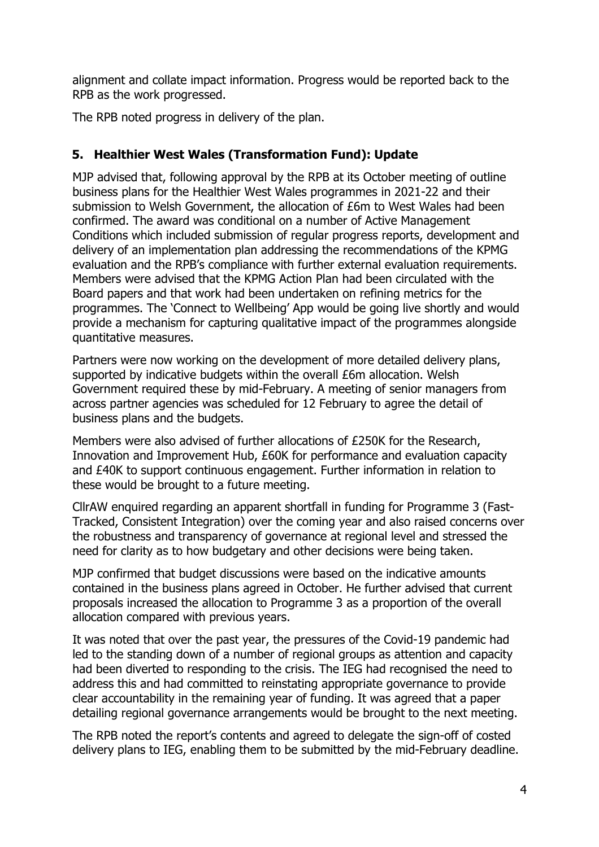alignment and collate impact information. Progress would be reported back to the RPB as the work progressed.

The RPB noted progress in delivery of the plan.

#### **5. Healthier West Wales (Transformation Fund): Update**

MJP advised that, following approval by the RPB at its October meeting of outline business plans for the Healthier West Wales programmes in 2021-22 and their submission to Welsh Government, the allocation of £6m to West Wales had been confirmed. The award was conditional on a number of Active Management Conditions which included submission of regular progress reports, development and delivery of an implementation plan addressing the recommendations of the KPMG evaluation and the RPB's compliance with further external evaluation requirements. Members were advised that the KPMG Action Plan had been circulated with the Board papers and that work had been undertaken on refining metrics for the programmes. The 'Connect to Wellbeing' App would be going live shortly and would provide a mechanism for capturing qualitative impact of the programmes alongside quantitative measures.

Partners were now working on the development of more detailed delivery plans, supported by indicative budgets within the overall £6m allocation. Welsh Government required these by mid-February. A meeting of senior managers from across partner agencies was scheduled for 12 February to agree the detail of business plans and the budgets.

Members were also advised of further allocations of £250K for the Research, Innovation and Improvement Hub, £60K for performance and evaluation capacity and £40K to support continuous engagement. Further information in relation to these would be brought to a future meeting.

CllrAW enquired regarding an apparent shortfall in funding for Programme 3 (Fast-Tracked, Consistent Integration) over the coming year and also raised concerns over the robustness and transparency of governance at regional level and stressed the need for clarity as to how budgetary and other decisions were being taken.

MJP confirmed that budget discussions were based on the indicative amounts contained in the business plans agreed in October. He further advised that current proposals increased the allocation to Programme 3 as a proportion of the overall allocation compared with previous years.

It was noted that over the past year, the pressures of the Covid-19 pandemic had led to the standing down of a number of regional groups as attention and capacity had been diverted to responding to the crisis. The IEG had recognised the need to address this and had committed to reinstating appropriate governance to provide clear accountability in the remaining year of funding. It was agreed that a paper detailing regional governance arrangements would be brought to the next meeting.

The RPB noted the report's contents and agreed to delegate the sign-off of costed delivery plans to IEG, enabling them to be submitted by the mid-February deadline.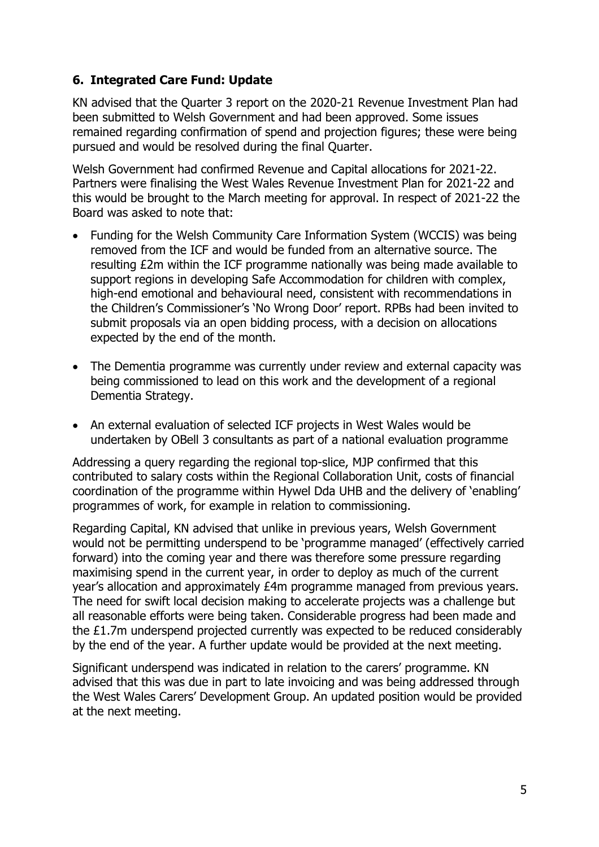### **6. Integrated Care Fund: Update**

KN advised that the Quarter 3 report on the 2020-21 Revenue Investment Plan had been submitted to Welsh Government and had been approved. Some issues remained regarding confirmation of spend and projection figures; these were being pursued and would be resolved during the final Quarter.

Welsh Government had confirmed Revenue and Capital allocations for 2021-22. Partners were finalising the West Wales Revenue Investment Plan for 2021-22 and this would be brought to the March meeting for approval. In respect of 2021-22 the Board was asked to note that:

- Funding for the Welsh Community Care Information System (WCCIS) was being removed from the ICF and would be funded from an alternative source. The resulting £2m within the ICF programme nationally was being made available to support regions in developing Safe Accommodation for children with complex, high-end emotional and behavioural need, consistent with recommendations in the Children's Commissioner's 'No Wrong Door' report. RPBs had been invited to submit proposals via an open bidding process, with a decision on allocations expected by the end of the month.
- The Dementia programme was currently under review and external capacity was being commissioned to lead on this work and the development of a regional Dementia Strategy.
- An external evaluation of selected ICF projects in West Wales would be undertaken by OBell 3 consultants as part of a national evaluation programme

Addressing a query regarding the regional top-slice, MJP confirmed that this contributed to salary costs within the Regional Collaboration Unit, costs of financial coordination of the programme within Hywel Dda UHB and the delivery of 'enabling' programmes of work, for example in relation to commissioning.

Regarding Capital, KN advised that unlike in previous years, Welsh Government would not be permitting underspend to be 'programme managed' (effectively carried forward) into the coming year and there was therefore some pressure regarding maximising spend in the current year, in order to deploy as much of the current year's allocation and approximately £4m programme managed from previous years. The need for swift local decision making to accelerate projects was a challenge but all reasonable efforts were being taken. Considerable progress had been made and the £1.7m underspend projected currently was expected to be reduced considerably by the end of the year. A further update would be provided at the next meeting.

Significant underspend was indicated in relation to the carers' programme. KN advised that this was due in part to late invoicing and was being addressed through the West Wales Carers' Development Group. An updated position would be provided at the next meeting.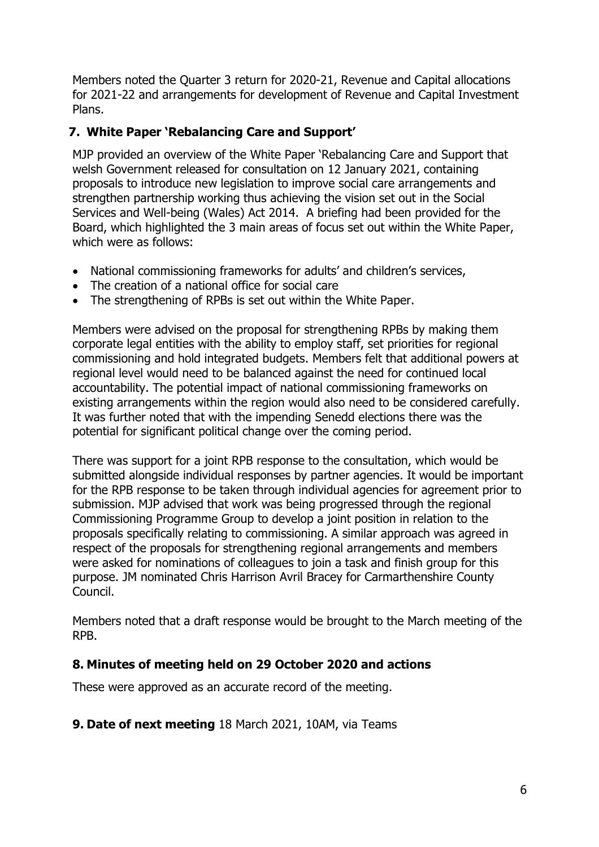Members noted the Quarter 3 return for 2020-21, Revenue and Capital allocations for 2021-22 and arrangements for development of Revenue and Capital Investment Plans.

### **7. White Paper 'Rebalancing Care and Support'**

MJP provided an overview of the White Paper 'Rebalancing Care and Support that welsh Government released for consultation on 12 January 2021, containing proposals to introduce new legislation to improve social care arrangements and strengthen partnership working thus achieving the vision set out in the Social Services and Well-being (Wales) Act 2014. A briefing had been provided for the Board, which highlighted the 3 main areas of focus set out within the White Paper, which were as follows:

- National commissioning frameworks for adults' and children's services,
- The creation of a national office for social care
- The strengthening of RPBs is set out within the White Paper.

Members were advised on the proposal for strengthening RPBs by making them corporate legal entities with the ability to employ staff, set priorities for regional commissioning and hold integrated budgets. Members felt that additional powers at regional level would need to be balanced against the need for continued local accountability. The potential impact of national commissioning frameworks on existing arrangements within the region would also need to be considered carefully. It was further noted that with the impending Senedd elections there was the potential for significant political change over the coming period.

There was support for a joint RPB response to the consultation, which would be submitted alongside individual responses by partner agencies. It would be important for the RPB response to be taken through individual agencies for agreement prior to submission. MJP advised that work was being progressed through the regional Commissioning Programme Group to develop a joint position in relation to the proposals specifically relating to commissioning. A similar approach was agreed in respect of the proposals for strengthening regional arrangements and members were asked for nominations of colleagues to join a task and finish group for this purpose. JM nominated Chris Harrison Avril Bracey for Carmarthenshire County Council.

Members noted that a draft response would be brought to the March meeting of the RPB.

#### **8. Minutes of meeting held on 29 October 2020 and actions**

These were approved as an accurate record of the meeting.

#### **9. Date of next meeting** 18 March 2021, 10AM, via Teams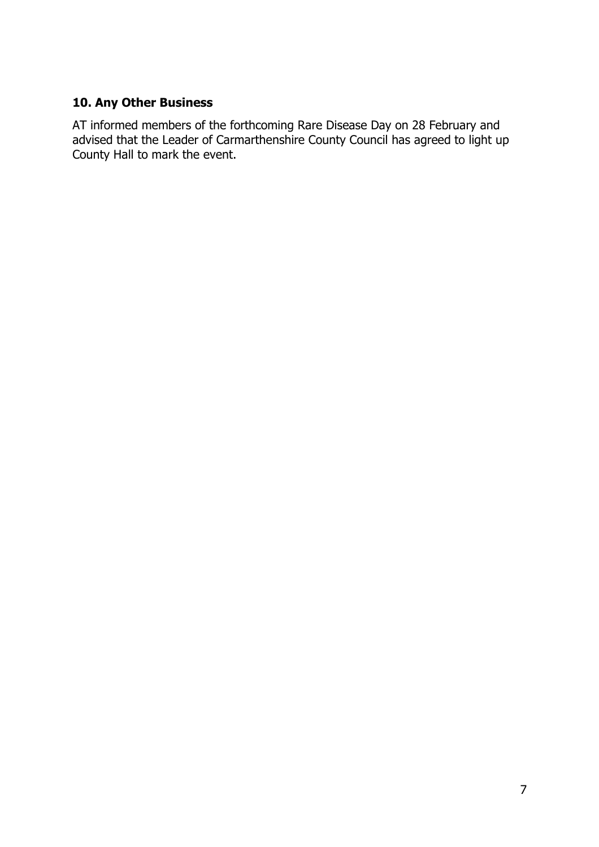## **10. Any Other Business**

AT informed members of the forthcoming Rare Disease Day on 28 February and advised that the Leader of Carmarthenshire County Council has agreed to light up County Hall to mark the event.